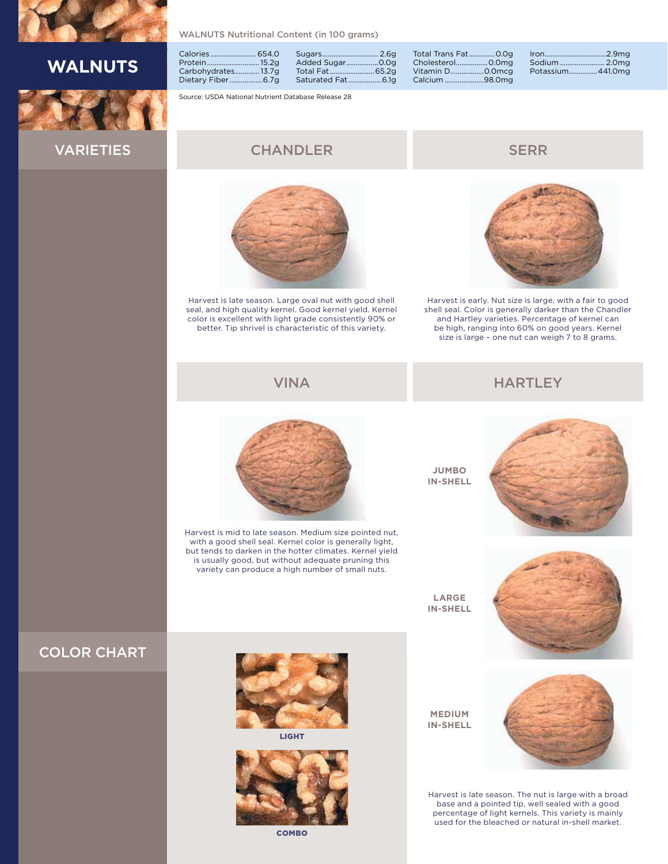

# **WALNUTS**



WALNUTS Nutritional Content (in 100 grams)

|                    | Sugars         |
|--------------------|----------------|
| Protein15.2g       | Added Sugar    |
| Carbohydrates13.7g | Total Fat      |
|                    | Saturated Fat. |

2.6g  $0.0g$ Total Fat........................65.2g Saturated Fat

Source: USDA National Nutrient Database Release 28

#### VARIETIES

### **CHANDLER** SERR



Harvest is late season. Large oval nut with good shell seal, and high quality kernel. Good kernel yield. Kernel color is excellent with light grade consistently 90% or better. Tip shrivel is characteristic of this variety.



Iron.................................2.9mg Sodium........................ 2.0mg

441.0mg

Harvest is early. Nut size is large, with a fair to good shell seal. Color is generally darker than the Chandler and Hartley varieties. Percentage of kernel can be high, ranging into 60% on good years. Kernel size is large – one nut can weigh 7 to 8 grams.

#### VINA HARTLEY



Harvest is mid to late season. Medium size pointed nut, with a good shell seal. Kernel color is generally light, but tends to darken in the hotter climates. Kernel yield is usually good, but without adequate pruning this variety can produce a high number of small nuts.

**JUMBO IN-SHELL**

Total Trans Fat..............0.0g Cholesterol.................0.0mg Vitamin D.....................0.0mcg<br>Calcium .........................98.0mg

Calcium ...











LIGHT



COMBO

**MEDIUM IN-SHELL**



Harvest is late season. The nut is large with a broad base and a pointed tip, well sealed with a good percentage of light kernels. This variety is mainly used for the bleached or natural in-shell market.